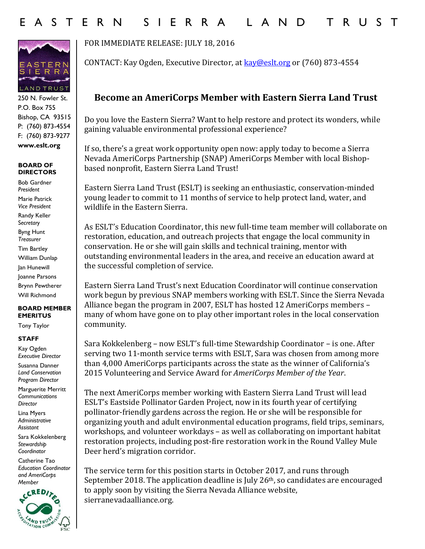

250 N. Fowler St. P.O. Box 755 Bishop, CA 93515 P: (760) 873-4554 F: (760) 873-9277 **www.eslt.org**

## **BOARD OF DIRECTORS**

Bob Gardner *President* Marie Patrick *Vice President* Randy Keller S*ecretary* Byng Hunt *Treasurer* Tim Bartley William Dunlap Jan Hunewill Joanne Parsons Brynn Pewtherer Will Richmond

## **BOARD MEMBER EMERITUS**

Tony Taylor

## **STAFF**

Kay Ogden *Executive Director* Susanna Danner *Land Conservation Program Director*

Marguerite Merritt *Communications Director*

Lina Myers *Administrative Assistant* 

Sara Kokkelenberg *Stewardship Coordinator* 

Catherine Tao *Education Coordinator and AmeriCorps Member* 



FOR IMMEDIATE RELEASE: JULY 18, 2016

CONTACT: Kay Ogden, Executive Director, at [kay@eslt.org](mailto:kay@eslt.org) or (760) 873-4554

## **Become an AmeriCorps Member with Eastern Sierra Land Trust**

Do you love the Eastern Sierra? Want to help restore and protect its wonders, while gaining valuable environmental professional experience?

If so, there's a great work opportunity open now: apply today to become a Sierra Nevada AmeriCorps Partnership (SNAP) AmeriCorps Member with local Bishopbased nonprofit, Eastern Sierra Land Trust!

Eastern Sierra Land Trust (ESLT) is seeking an enthusiastic, conservation-minded young leader to commit to 11 months of service to help protect land, water, and wildlife in the Eastern Sierra.

As ESLT's Education Coordinator, this new full-time team member will collaborate on restoration, education, and outreach projects that engage the local community in conservation. He or she will gain skills and technical training, mentor with outstanding environmental leaders in the area, and receive an education award at the successful completion of service.

Eastern Sierra Land Trust's next Education Coordinator will continue conservation work begun by previous SNAP members working with ESLT. Since the Sierra Nevada Alliance began the program in 2007, ESLT has hosted 12 AmeriCorps members – many of whom have gone on to play other important roles in the local conservation community.

Sara Kokkelenberg – now ESLT's full-time Stewardship Coordinator – is one. After serving two 11-month service terms with ESLT, Sara was chosen from among more than 4,000 AmeriCorps participants across the state as the winner of California's 2015 Volunteering and Service Award for *AmeriCorps Member of the Year*.

The next AmeriCorps member working with Eastern Sierra Land Trust will lead ESLT's Eastside Pollinator Garden Project, now in its fourth year of certifying pollinator-friendly gardens across the region. He or she will be responsible for organizing youth and adult environmental education programs, field trips, seminars, workshops, and volunteer workdays – as well as collaborating on important habitat restoration projects, including post-fire restoration work in the Round Valley Mule Deer herd's migration corridor.

The service term for this position starts in October 2017, and runs through September 2018. The application deadline is July  $26<sup>th</sup>$ , so candidates are encouraged to apply soon by visiting the Sierra Nevada Alliance website, sierranevadaalliance.org.